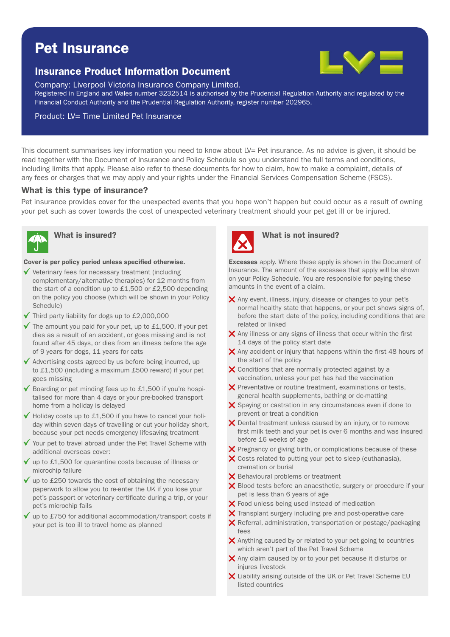# Pet Insurance

# Insurance Product Information Document



Company: Liverpool Victoria Insurance Company Limited.

Registered in England and Wales number 3232514 is authorised by the Prudential Regulation Authority and regulated by the Financial Conduct Authority and the Prudential Regulation Authority, register number 202965.

#### Product: LV= Time Limited Pet Insurance

This document summarises key information you need to know about LV= Pet insurance. As no advice is given, it should be read together with the Document of Insurance and Policy Schedule so you understand the full terms and conditions, including limits that apply. Please also refer to these documents for how to claim, how to make a complaint, details of any fees or charges that we may apply and your rights under the Financial Services Compensation Scheme (FSCS).

#### What is this type of insurance?

Pet insurance provides cover for the unexpected events that you hope won't happen but could occur as a result of owning your pet such as cover towards the cost of unexpected veterinary treatment should your pet get ill or be injured.



#### Cover is per policy period unless specified otherwise.

- $\checkmark$  Veterinary fees for necessary treatment (including complementary/alternative therapies) for 12 months from the start of a condition up to £1,500 or £2,500 depending on the policy you choose (which will be shown in your Policy Schedule)
- $\checkmark$  Third party liability for dogs up to £2,000,000
- $\checkmark$  The amount you paid for your pet, up to £1,500, if your pet dies as a result of an accident, or goes missing and is not found after 45 days, or dies from an illness before the age of 9 years for dogs, 11 years for cats
- $\checkmark$  Advertising costs agreed by us before being incurred, up to £1,500 (including a maximum £500 reward) if your pet goes missing
- $\checkmark$  Boarding or pet minding fees up to £1,500 if you're hospitalised for more than 4 days or your pre-booked transport home from a holiday is delayed
- $\checkmark$  Holiday costs up to £1,500 if you have to cancel your holiday within seven days of travelling or cut your holiday short, because your pet needs emergency lifesaving treatment
- $\checkmark$  Your pet to travel abroad under the Pet Travel Scheme with additional overseas cover:
- $\checkmark$  up to £1,500 for quarantine costs because of illness or microchip failure
- $\checkmark$  up to £250 towards the cost of obtaining the necessary paperwork to allow you to re-enter the UK if you lose your pet's passport or veterinary certificate during a trip, or your pet's microchip fails
- up to £750 for additional accommodation/transport costs if your pet is too ill to travel home as planned



# What is insured? What is not insured?

**Excesses** apply. Where these apply is shown in the Document of Insurance. The amount of the excesses that apply will be shown on your Policy Schedule. You are responsible for paying these amounts in the event of a claim.

- $\boldsymbol{\times}$  Any event, illness, injury, disease or changes to your pet's normal healthy state that happens, or your pet shows signs of, before the start date of the policy, including conditions that are related or linked
- $\boldsymbol{\times}$  Any illness or any signs of illness that occur within the first 14 days of the policy start date
- $\times$  Any accident or injury that happens within the first 48 hours of the start of the policy
- X Conditions that are normally protected against by a vaccination, unless your pet has had the vaccination
- $\boldsymbol{\times}$  Preventative or routine treatment, examinations or tests, general health supplements, bathing or de-matting
- $\boldsymbol{\times}$  Spaying or castration in any circumstances even if done to prevent or treat a condition
- X Dental treatment unless caused by an injury, or to remove first milk teeth and your pet is over 6 months and was insured before 16 weeks of age
- $\boldsymbol{\times}$  Pregnancy or giving birth, or complications because of these
- $\boldsymbol{\times}$  Costs related to putting your pet to sleep (euthanasia), cremation or burial
- X Behavioural problems or treatment
- X Blood tests before an anaesthetic, surgery or procedure if your pet is less than 6 years of age
- X Food unless being used instead of medication
- $\boldsymbol{\times}$  Transplant surgery including pre and post-operative care
- $\times$  Referral, administration, transportation or postage/packaging fees
- $\boldsymbol{\times}$  Anything caused by or related to your pet going to countries which aren't part of the Pet Travel Scheme
- $\times$  Any claim caused by or to your pet because it disturbs or injures livestock
- Liability arising outside of the UK or Pet Travel Scheme EU listed countries